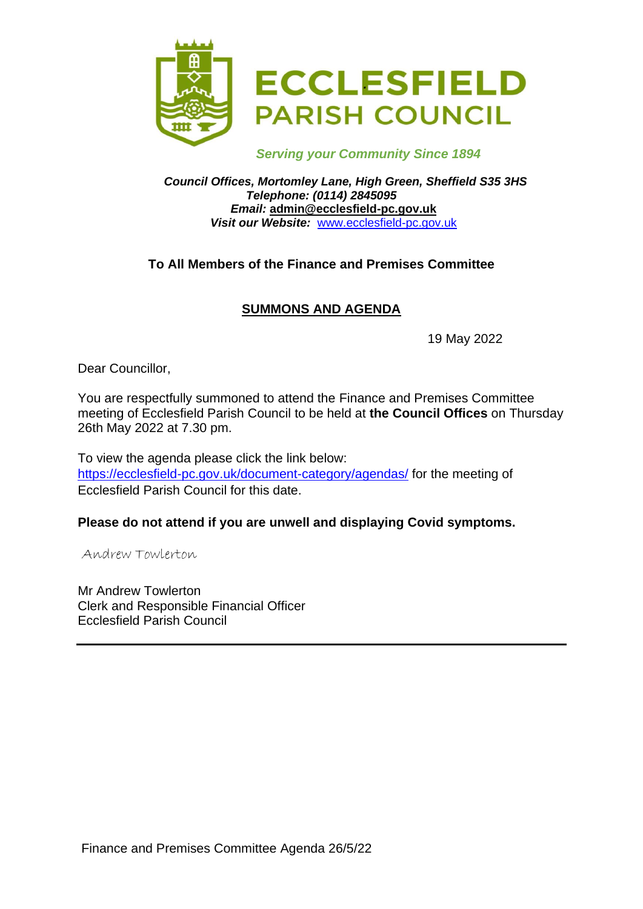

 *Serving your Community Since 1894*

*Council Offices, Mortomley Lane, High Green, Sheffield S35 3HS Telephone: (0114) 2845095 Email:* **admin@ecclesfield-pc.gov.uk** *Visit our Website:* [www.ecclesfield-pc.gov.uk](http://www.ecclesfield-pc.gov.uk/)

# **To All Members of the Finance and Premises Committee**

# **SUMMONS AND AGENDA**

19 May 2022

Dear Councillor,

You are respectfully summoned to attend the Finance and Premises Committee meeting of Ecclesfield Parish Council to be held at **the Council Offices** on Thursday 26th May 2022 at 7.30 pm.

To view the agenda please click the link below: <https://ecclesfield-pc.gov.uk/document-category/agendas/> for the meeting of Ecclesfield Parish Council for this date.

#### **Please do not attend if you are unwell and displaying Covid symptoms.**

Andrew Towlerton

Mr Andrew Towlerton Clerk and Responsible Financial Officer Ecclesfield Parish Council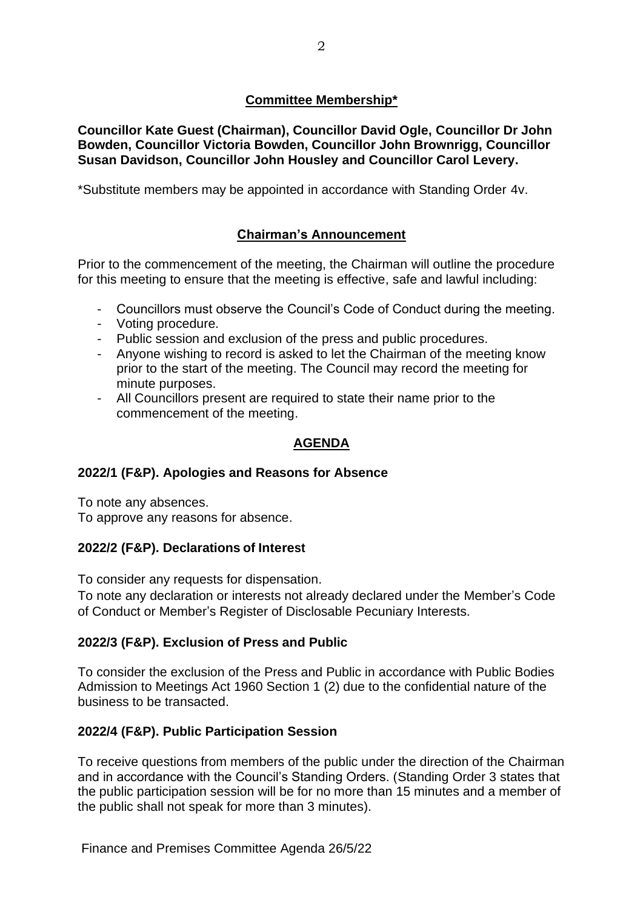### **Committee Membership\***

**Councillor Kate Guest (Chairman), Councillor David Ogle, Councillor Dr John Bowden, Councillor Victoria Bowden, Councillor John Brownrigg, Councillor Susan Davidson, Councillor John Housley and Councillor Carol Levery.**

\*Substitute members may be appointed in accordance with Standing Order 4v.

# **Chairman's Announcement**

Prior to the commencement of the meeting, the Chairman will outline the procedure for this meeting to ensure that the meeting is effective, safe and lawful including:

- Councillors must observe the Council's Code of Conduct during the meeting.
- Voting procedure.
- Public session and exclusion of the press and public procedures.
- Anyone wishing to record is asked to let the Chairman of the meeting know prior to the start of the meeting. The Council may record the meeting for minute purposes.
- All Councillors present are required to state their name prior to the commencement of the meeting.

#### **AGENDA**

#### **2022/1 (F&P). Apologies and Reasons for Absence**

To note any absences. To approve any reasons for absence.

#### **2022/2 (F&P). Declarations of Interest**

To consider any requests for dispensation.

To note any declaration or interests not already declared under the Member's Code of Conduct or Member's Register of Disclosable Pecuniary Interests.

#### **2022/3 (F&P). Exclusion of Press and Public**

To consider the exclusion of the Press and Public in accordance with Public Bodies Admission to Meetings Act 1960 Section 1 (2) due to the confidential nature of the business to be transacted.

#### **2022/4 (F&P). Public Participation Session**

To receive questions from members of the public under the direction of the Chairman and in accordance with the Council's Standing Orders. (Standing Order 3 states that the public participation session will be for no more than 15 minutes and a member of the public shall not speak for more than 3 minutes).